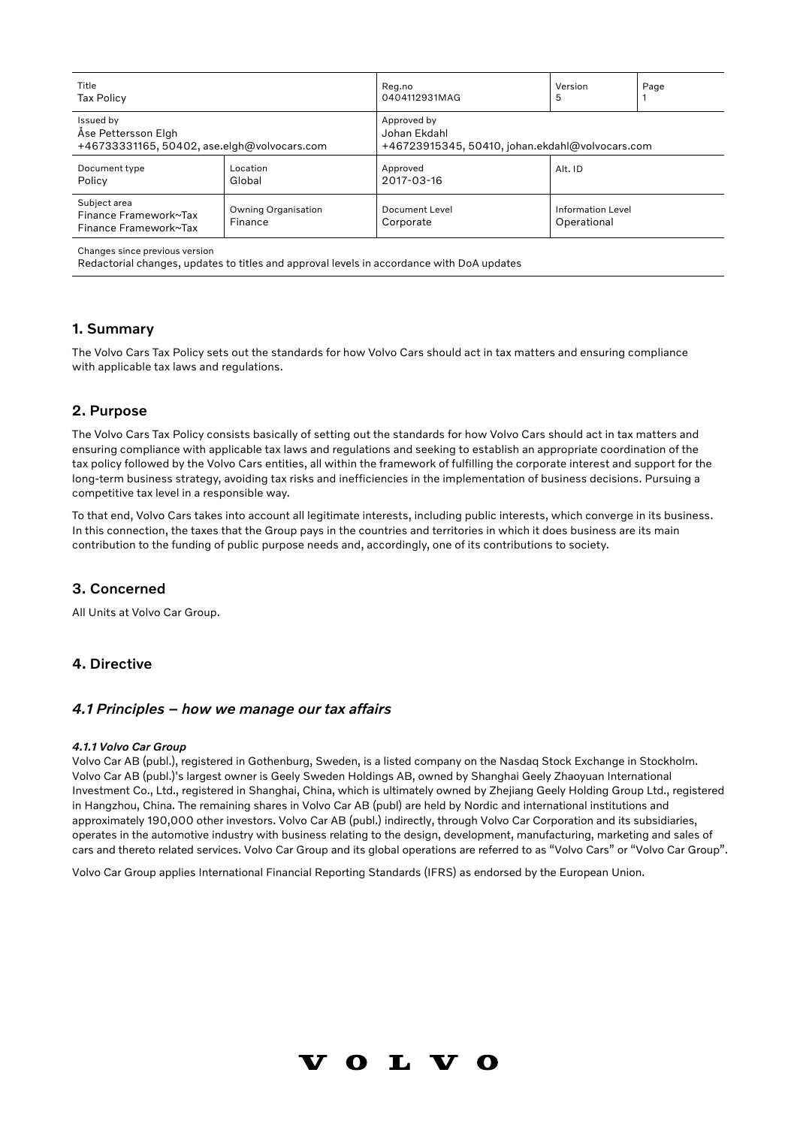| Title                                                          |                                       | Reg.no                                          | Version                          | Page |
|----------------------------------------------------------------|---------------------------------------|-------------------------------------------------|----------------------------------|------|
| <b>Tax Policy</b>                                              |                                       | 0404112931MAG                                   | 5                                |      |
| Issued by                                                      |                                       | Approved by                                     |                                  |      |
| Åse Pettersson Elgh                                            |                                       | Johan Ekdahl                                    |                                  |      |
| +46733331165, 50402, ase.elgh@volvocars.com                    |                                       | +46723915345, 50410, johan.ekdahl@volvocars.com |                                  |      |
| Document type<br>Policy                                        | Location<br>Global                    | Approved<br>2017-03-16                          | Alt. ID                          |      |
| Subject area<br>Finance Framework~Tax<br>Finance Framework~Tax | <b>Owning Organisation</b><br>Finance | Document Level<br>Corporate                     | Information Level<br>Operational |      |

Redactorial changes, updates to titles and approval levels in accordance with DoA updates

### 1. Summary

The Volvo Cars Tax Policy sets out the standards for how Volvo Cars should act in tax matters and ensuring compliance with applicable tax laws and regulations.

# 2. Purpose

The Volvo Cars Tax Policy consists basically of setting out the standards for how Volvo Cars should act in tax matters and ensuring compliance with applicable tax laws and regulations and seeking to establish an appropriate coordination of the tax policy followed by the Volvo Cars entities, all within the framework of fulfilling the corporate interest and support for the long-term business strategy, avoiding tax risks and inefficiencies in the implementation of business decisions. Pursuing a competitive tax level in a responsible way.

To that end, Volvo Cars takes into account all legitimate interests, including public interests, which converge in its business. In this connection, the taxes that the Group pays in the countries and territories in which it does business are its main contribution to the funding of public purpose needs and, accordingly, one of its contributions to society.

# 3. Concerned

All Units at Volvo Car Group.

# 4. Directive

### *4.1 Principles – how we manage our tax affairs*

#### *4.1.1 Volvo Car Group*

Volvo Car AB (publ.), registered in Gothenburg, Sweden, is a listed company on the Nasdaq Stock Exchange in Stockholm. Volvo Car AB (publ.)'s largest owner is Geely Sweden Holdings AB, owned by Shanghai Geely Zhaoyuan International Investment Co., Ltd., registered in Shanghai, China, which is ultimately owned by Zhejiang Geely Holding Group Ltd., registered in Hangzhou, China. The remaining shares in Volvo Car AB (publ) are held by Nordic and international institutions and approximately 190,000 other investors. Volvo Car AB (publ.) indirectly, through Volvo Car Corporation and its subsidiaries, operates in the automotive industry with business relating to the design, development, manufacturing, marketing and sales of cars and thereto related services. Volvo Car Group and its global operations are referred to as "Volvo Cars" or "Volvo Car Group".

Volvo Car Group applies International Financial Reporting Standards (IFRS) as endorsed by the European Union.

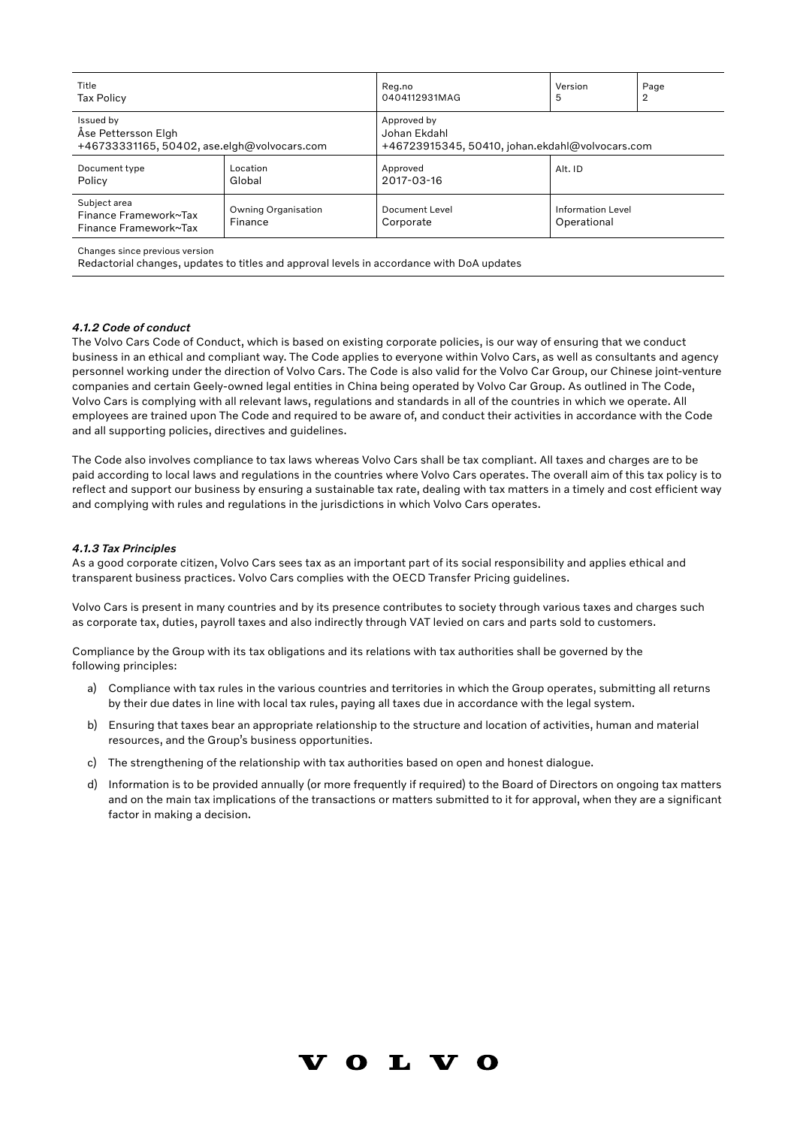| Title                                                          |                                       | Reg.no                                          | Version                                 | Page |  |
|----------------------------------------------------------------|---------------------------------------|-------------------------------------------------|-----------------------------------------|------|--|
| <b>Tax Policy</b>                                              |                                       | 0404112931MAG                                   | 5                                       | 2    |  |
| Issued by                                                      |                                       | Approved by                                     |                                         |      |  |
| Åse Pettersson Elgh                                            |                                       | Johan Ekdahl                                    |                                         |      |  |
| +46733331165, 50402, ase.elgh@volvocars.com                    |                                       | +46723915345, 50410, johan.ekdahl@volvocars.com |                                         |      |  |
| Document type<br>Policy                                        | Location<br>Global                    | Approved<br>2017-03-16                          | Alt. ID                                 |      |  |
| Subject area<br>Finance Framework~Tax<br>Finance Framework~Tax | <b>Owning Organisation</b><br>Finance | Document Level<br>Corporate                     | <b>Information Level</b><br>Operational |      |  |

Redactorial changes, updates to titles and approval levels in accordance with DoA updates

### *4.1.2 Code of conduct*

The Volvo Cars Code of Conduct, which is based on existing corporate policies, is our way of ensuring that we conduct business in an ethical and compliant way. The Code applies to everyone within Volvo Cars, as well as consultants and agency personnel working under the direction of Volvo Cars. The Code is also valid for the Volvo Car Group, our Chinese joint-venture companies and certain Geely-owned legal entities in China being operated by Volvo Car Group. As outlined in The Code, Volvo Cars is complying with all relevant laws, regulations and standards in all of the countries in which we operate. All employees are trained upon The Code and required to be aware of, and conduct their activities in accordance with the Code and all supporting policies, directives and guidelines.

The Code also involves compliance to tax laws whereas Volvo Cars shall be tax compliant. All taxes and charges are to be paid according to local laws and regulations in the countries where Volvo Cars operates. The overall aim of this tax policy is to reflect and support our business by ensuring a sustainable tax rate, dealing with tax matters in a timely and cost efficient way and complying with rules and regulations in the jurisdictions in which Volvo Cars operates.

#### *4.1.3 Tax Principles*

As a good corporate citizen, Volvo Cars sees tax as an important part of its social responsibility and applies ethical and transparent business practices. Volvo Cars complies with the OECD Transfer Pricing guidelines.

Volvo Cars is present in many countries and by its presence contributes to society through various taxes and charges such as corporate tax, duties, payroll taxes and also indirectly through VAT levied on cars and parts sold to customers.

Compliance by the Group with its tax obligations and its relations with tax authorities shall be governed by the following principles:

- a) Compliance with tax rules in the various countries and territories in which the Group operates, submitting all returns by their due dates in line with local tax rules, paying all taxes due in accordance with the legal system.
- b) Ensuring that taxes bear an appropriate relationship to the structure and location of activities, human and material resources, and the Group's business opportunities.
- c) The strengthening of the relationship with tax authorities based on open and honest dialogue.
- d) Information is to be provided annually (or more frequently if required) to the Board of Directors on ongoing tax matters and on the main tax implications of the transactions or matters submitted to it for approval, when they are a significant factor in making a decision.

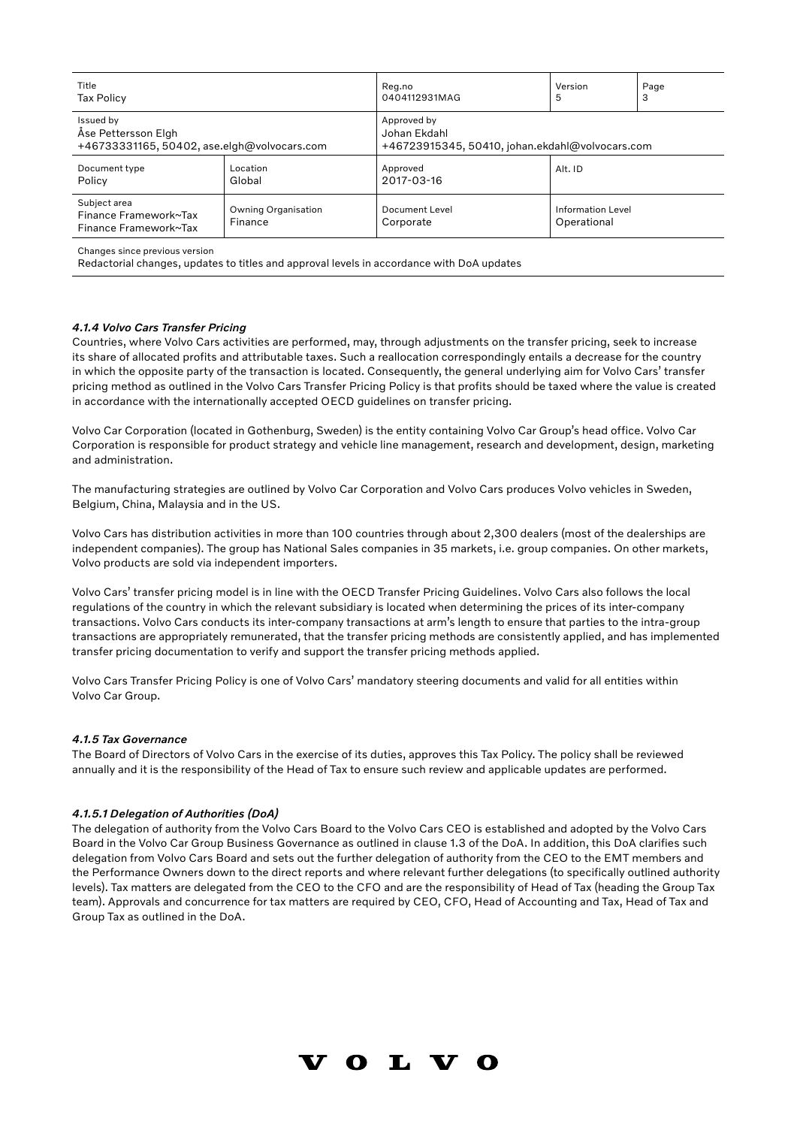| Title                                                          |                                       | Reg.no                                          | Version                          | Page |  |
|----------------------------------------------------------------|---------------------------------------|-------------------------------------------------|----------------------------------|------|--|
| <b>Tax Policy</b>                                              |                                       | 0404112931MAG                                   | 5                                | 3    |  |
| Issued by                                                      |                                       | Approved by                                     |                                  |      |  |
| Åse Pettersson Elgh                                            |                                       | Johan Ekdahl                                    |                                  |      |  |
| +46733331165, 50402, ase.elgh@volvocars.com                    |                                       | +46723915345, 50410, johan.ekdahl@volvocars.com |                                  |      |  |
| Document type<br>Policy                                        | Location<br>Global                    | Approved<br>2017-03-16                          | Alt. ID                          |      |  |
| Subject area<br>Finance Framework~Tax<br>Finance Framework~Tax | <b>Owning Organisation</b><br>Finance | Document Level<br>Corporate                     | Information Level<br>Operational |      |  |

Redactorial changes, updates to titles and approval levels in accordance with DoA updates

### *4.1.4 Volvo Cars Transfer Pricing*

Countries, where Volvo Cars activities are performed, may, through adjustments on the transfer pricing, seek to increase its share of allocated profits and attributable taxes. Such a reallocation correspondingly entails a decrease for the country in which the opposite party of the transaction is located. Consequently, the general underlying aim for Volvo Cars' transfer pricing method as outlined in the Volvo Cars Transfer Pricing Policy is that profits should be taxed where the value is created in accordance with the internationally accepted OECD guidelines on transfer pricing.

Volvo Car Corporation (located in Gothenburg, Sweden) is the entity containing Volvo Car Group's head office. Volvo Car Corporation is responsible for product strategy and vehicle line management, research and development, design, marketing and administration.

The manufacturing strategies are outlined by Volvo Car Corporation and Volvo Cars produces Volvo vehicles in Sweden, Belgium, China, Malaysia and in the US.

Volvo Cars has distribution activities in more than 100 countries through about 2,300 dealers (most of the dealerships are independent companies). The group has National Sales companies in 35 markets, i.e. group companies. On other markets, Volvo products are sold via independent importers.

Volvo Cars' transfer pricing model is in line with the OECD Transfer Pricing Guidelines. Volvo Cars also follows the local regulations of the country in which the relevant subsidiary is located when determining the prices of its inter-company transactions. Volvo Cars conducts its inter-company transactions at arm's length to ensure that parties to the intra-group transactions are appropriately remunerated, that the transfer pricing methods are consistently applied, and has implemented transfer pricing documentation to verify and support the transfer pricing methods applied.

Volvo Cars Transfer Pricing Policy is one of Volvo Cars' mandatory steering documents and valid for all entities within Volvo Car Group.

#### *4.1.5 Tax Governance*

The Board of Directors of Volvo Cars in the exercise of its duties, approves this Tax Policy. The policy shall be reviewed annually and it is the responsibility of the Head of Tax to ensure such review and applicable updates are performed.

#### *4.1.5.1 Delegation of Authorities (DoA)*

The delegation of authority from the Volvo Cars Board to the Volvo Cars CEO is established and adopted by the Volvo Cars Board in the Volvo Car Group Business Governance as outlined in clause 1.3 of the DoA. In addition, this DoA clarifies such delegation from Volvo Cars Board and sets out the further delegation of authority from the CEO to the EMT members and the Performance Owners down to the direct reports and where relevant further delegations (to specifically outlined authority levels). Tax matters are delegated from the CEO to the CFO and are the responsibility of Head of Tax (heading the Group Tax team). Approvals and concurrence for tax matters are required by CEO, CFO, Head of Accounting and Tax, Head of Tax and Group Tax as outlined in the DoA.

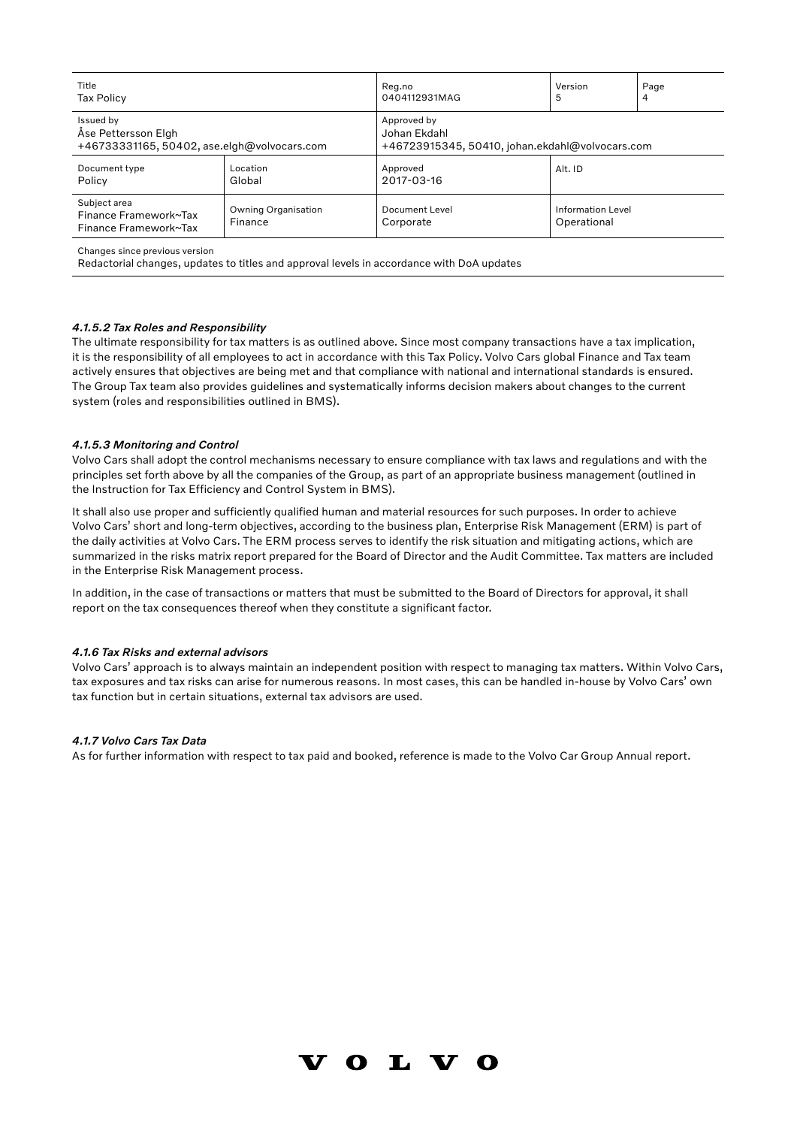| Title                                                          |                                       | Reg.no                                          | Version                          | Page |  |
|----------------------------------------------------------------|---------------------------------------|-------------------------------------------------|----------------------------------|------|--|
| <b>Tax Policy</b>                                              |                                       | 0404112931MAG                                   | 5                                | 4    |  |
| Issued by                                                      |                                       | Approved by                                     |                                  |      |  |
| Åse Pettersson Elgh                                            |                                       | Johan Ekdahl                                    |                                  |      |  |
| +46733331165, 50402, ase.elgh@volvocars.com                    |                                       | +46723915345, 50410, johan.ekdahl@volvocars.com |                                  |      |  |
| Document type<br>Policy                                        | Location<br>Global                    | Approved<br>2017-03-16                          | Alt. ID                          |      |  |
| Subject area<br>Finance Framework~Tax<br>Finance Framework~Tax | <b>Owning Organisation</b><br>Finance | Document Level<br>Corporate                     | Information Level<br>Operational |      |  |

Redactorial changes, updates to titles and approval levels in accordance with DoA updates

### *4.1.5.2 Tax Roles and Responsibility*

The ultimate responsibility for tax matters is as outlined above. Since most company transactions have a tax implication, it is the responsibility of all employees to act in accordance with this Tax Policy. Volvo Cars global Finance and Tax team actively ensures that objectives are being met and that compliance with national and international standards is ensured. The Group Tax team also provides guidelines and systematically informs decision makers about changes to the current system (roles and responsibilities outlined in BMS).

#### *4.1.5.3 Monitoring and Control*

Volvo Cars shall adopt the control mechanisms necessary to ensure compliance with tax laws and regulations and with the principles set forth above by all the companies of the Group, as part of an appropriate business management (outlined in the Instruction for Tax Efficiency and Control System in BMS).

It shall also use proper and sufficiently qualified human and material resources for such purposes. In order to achieve Volvo Cars' short and long-term objectives, according to the business plan, Enterprise Risk Management (ERM) is part of the daily activities at Volvo Cars. The ERM process serves to identify the risk situation and mitigating actions, which are summarized in the risks matrix report prepared for the Board of Director and the Audit Committee. Tax matters are included in the Enterprise Risk Management process.

In addition, in the case of transactions or matters that must be submitted to the Board of Directors for approval, it shall report on the tax consequences thereof when they constitute a significant factor.

#### *4.1.6 Tax Risks and external advisors*

Volvo Cars' approach is to always maintain an independent position with respect to managing tax matters. Within Volvo Cars, tax exposures and tax risks can arise for numerous reasons. In most cases, this can be handled in-house by Volvo Cars' own tax function but in certain situations, external tax advisors are used.

### *4.1.7 Volvo Cars Tax Data*

As for further information with respect to tax paid and booked, reference is made to the Volvo Car Group Annual report.